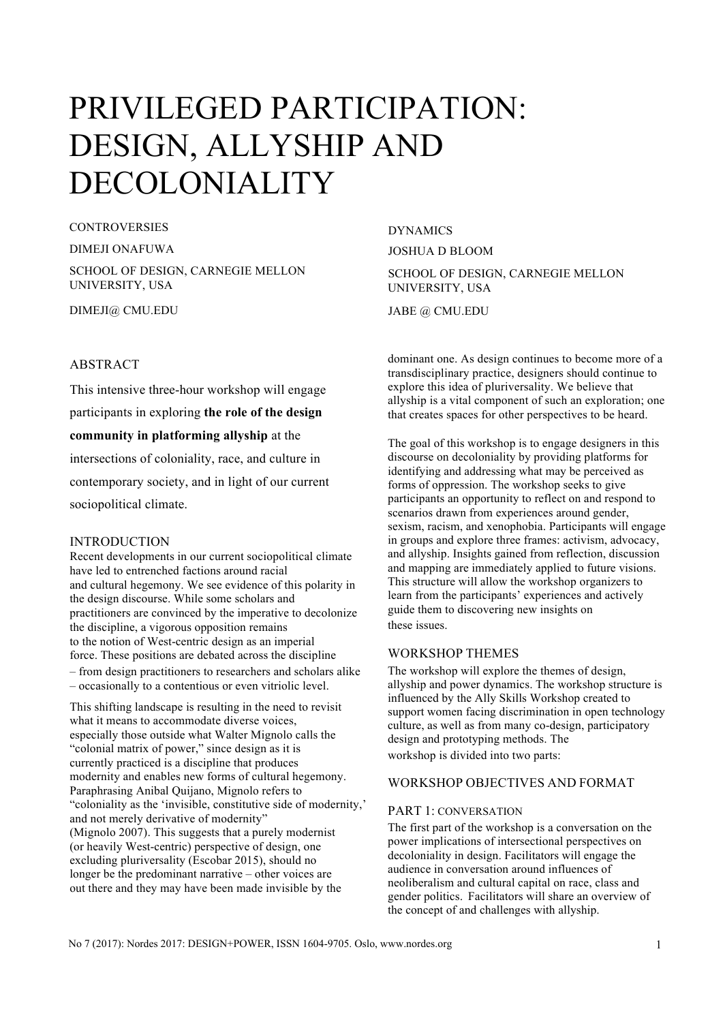# PRIVILEGED PARTICIPATION: DESIGN, ALLYSHIP AND DECOLONIALITY

CONTROVERSIES

DIMEJI ONAFUWA

SCHOOL OF DESIGN, CARNEGIE MELLON UNIVERSITY, USA

DIMEJI@ CMU.EDU

### ABSTRACT

This intensive three-hour workshop will engage participants in exploring **the role of the design community in platforming allyship** at the intersections of coloniality, race, and culture in contemporary society, and in light of our current sociopolitical climate.

#### INTRODUCTION

Recent developments in our current sociopolitical climate have led to entrenched factions around racial and cultural hegemony. We see evidence of this polarity in the design discourse. While some scholars and practitioners are convinced by the imperative to decolonize the discipline, a vigorous opposition remains to the notion of West-centric design as an imperial force. These positions are debated across the discipline – from design practitioners to researchers and scholars alike – occasionally to a contentious or even vitriolic level.

This shifting landscape is resulting in the need to revisit what it means to accommodate diverse voices, especially those outside what Walter Mignolo calls the "colonial matrix of power," since design as it is currently practiced is a discipline that produces modernity and enables new forms of cultural hegemony. Paraphrasing Anibal Quijano, Mignolo refers to "coloniality as the 'invisible, constitutive side of modernity,' and not merely derivative of modernity" (Mignolo 2007). This suggests that a purely modernist (or heavily West-centric) perspective of design, one excluding pluriversality (Escobar 2015), should no longer be the predominant narrative – other voices are out there and they may have been made invisible by the

DYNAMICS JOSHUA D BLOOM SCHOOL OF DESIGN, CARNEGIE MELLON UNIVERSITY, USA JABE @ CMU.EDU

dominant one. As design continues to become more of a transdisciplinary practice, designers should continue to explore this idea of pluriversality. We believe that allyship is a vital component of such an exploration; one that creates spaces for other perspectives to be heard.

The goal of this workshop is to engage designers in this discourse on decoloniality by providing platforms for identifying and addressing what may be perceived as forms of oppression. The workshop seeks to give participants an opportunity to reflect on and respond to scenarios drawn from experiences around gender, sexism, racism, and xenophobia. Participants will engage in groups and explore three frames: activism, advocacy, and allyship. Insights gained from reflection, discussion and mapping are immediately applied to future visions. This structure will allow the workshop organizers to learn from the participants' experiences and actively guide them to discovering new insights on these issues.

## WORKSHOP THEMES

The workshop will explore the themes of design, allyship and power dynamics. The workshop structure is influenced by the Ally Skills Workshop created to support women facing discrimination in open technology culture, as well as from many co-design, participatory design and prototyping methods. The workshop is divided into two parts:

## WORKSHOP OBJECTIVES AND FORMAT

#### PART 1: CONVERSATION

The first part of the workshop is a conversation on the power implications of intersectional perspectives on decoloniality in design. Facilitators will engage the audience in conversation around influences of neoliberalism and cultural capital on race, class and gender politics. Facilitators will share an overview of the concept of and challenges with allyship.